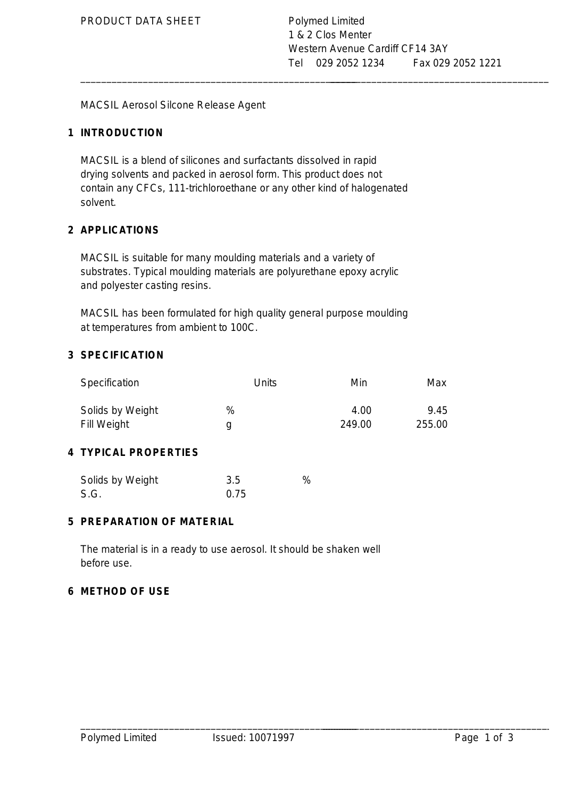\_\_\_\_\_\_\_\_\_\_\_\_\_\_\_\_\_\_\_\_\_\_\_\_\_\_\_\_\_\_\_\_\_\_\_\_\_\_\_\_\_\_\_\_\_\_\_\_\_\_\_\_\_ \_\_\_\_\_\_\_\_\_\_\_\_\_\_\_\_\_\_\_\_\_\_\_\_\_\_\_\_\_\_\_\_\_\_\_\_\_\_\_\_\_\_\_\_\_\_\_\_\_\_\_\_\_

MACSIL Aerosol Silcone Release Agent

# **1 INTRODUCTION**

MACSIL is a blend of silicones and surfactants dissolved in rapid drying solvents and packed in aerosol form. This product does not contain any CFCs, 111-trichloroethane or any other kind of halogenated solvent.

# **2 APPLICATIONS**

MACSIL is suitable for many moulding materials and a variety of substrates. Typical moulding materials are polyurethane epoxy acrylic and polyester casting resins.

MACSIL has been formulated for high quality general purpose moulding at temperatures from ambient to 100C.

# **3 SPECIFICATION**

| Specification                        | Units | Min            | Max            |
|--------------------------------------|-------|----------------|----------------|
| Solids by Weight<br>Fill Weight<br>g | %     | 4.00<br>249.00 | 9.45<br>255.00 |

# **4 TYPICAL PROPERTIES**

| Solids by Weight | 3.5  | % |
|------------------|------|---|
| S.G.             | 0.75 |   |

### **5 PREPARATION OF MATERIAL**

The material is in a ready to use aerosol. It should be shaken well before use.

#### **6 METHOD OF USE**

\_\_\_\_\_\_\_\_\_\_\_\_\_\_\_\_\_\_\_\_\_\_\_\_\_\_\_\_\_\_\_\_\_\_\_\_\_\_\_\_\_\_\_\_\_\_\_\_\_\_\_\_\_ \_\_\_\_\_\_\_\_\_\_\_\_\_\_\_\_\_\_\_\_\_\_\_\_\_\_\_\_\_\_\_\_\_\_\_\_\_\_\_\_\_\_\_\_\_\_\_\_\_\_\_\_\_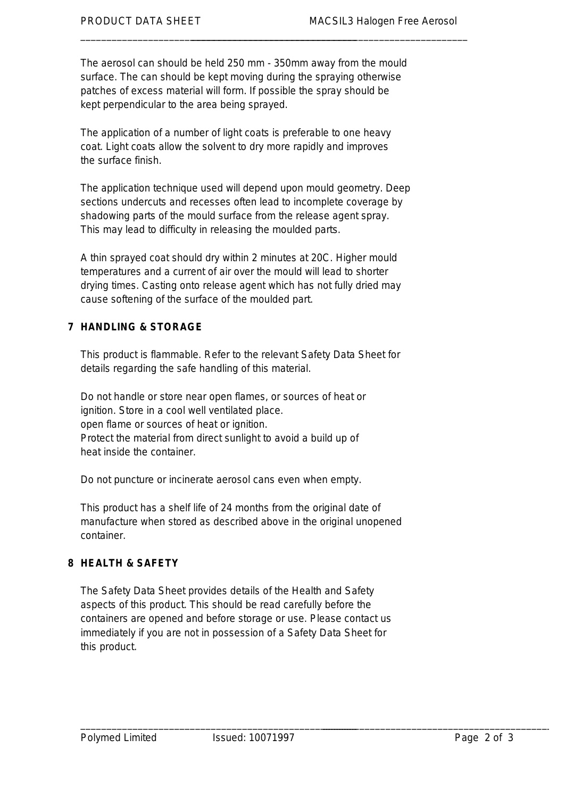The aerosol can should be held 250 mm - 350mm away from the mould surface. The can should be kept moving during the spraying otherwise patches of excess material will form. If possible the spray should be kept perpendicular to the area being sprayed.

\_\_\_\_\_\_\_\_\_\_\_\_\_\_\_\_\_\_\_\_\_\_\_\_\_\_\_\_\_\_\_\_\_\_\_\_\_\_\_\_\_\_\_\_\_\_\_\_\_\_\_\_\_ \_\_\_\_\_\_\_\_\_\_\_\_\_\_\_\_\_\_\_\_\_\_\_\_\_\_\_\_\_\_\_\_\_\_\_\_\_\_\_\_\_\_\_\_\_\_\_\_\_\_\_\_\_

The application of a number of light coats is preferable to one heavy coat. Light coats allow the solvent to dry more rapidly and improves the surface finish.

The application technique used will depend upon mould geometry. Deep sections undercuts and recesses often lead to incomplete coverage by shadowing parts of the mould surface from the release agent spray. This may lead to difficulty in releasing the moulded parts.

A thin sprayed coat should dry within 2 minutes at 20C. Higher mould temperatures and a current of air over the mould will lead to shorter drying times. Casting onto release agent which has not fully dried may cause softening of the surface of the moulded part.

# **7 HANDLING & STORAGE**

This product is flammable. Refer to the relevant Safety Data Sheet for details regarding the safe handling of this material.

Do not handle or store near open flames, or sources of heat or ignition. Store in a cool well ventilated place. open flame or sources of heat or ignition. Protect the material from direct sunlight to avoid a build up of heat inside the container.

Do not puncture or incinerate aerosol cans even when empty.

This product has a shelf life of 24 months from the original date of manufacture when stored as described above in the original unopened container.

# **8 HEALTH & SAFETY**

The Safety Data Sheet provides details of the Health and Safety aspects of this product. This should be read carefully before the containers are opened and before storage or use. Please contact us immediately if you are not in possession of a Safety Data Sheet for this product.

\_\_\_\_\_\_\_\_\_\_\_\_\_\_\_\_\_\_\_\_\_\_\_\_\_\_\_\_\_\_\_\_\_\_\_\_\_\_\_\_\_\_\_\_\_\_\_\_\_\_\_\_\_ \_\_\_\_\_\_\_\_\_\_\_\_\_\_\_\_\_\_\_\_\_\_\_\_\_\_\_\_\_\_\_\_\_\_\_\_\_\_\_\_\_\_\_\_\_\_\_\_\_\_\_\_\_